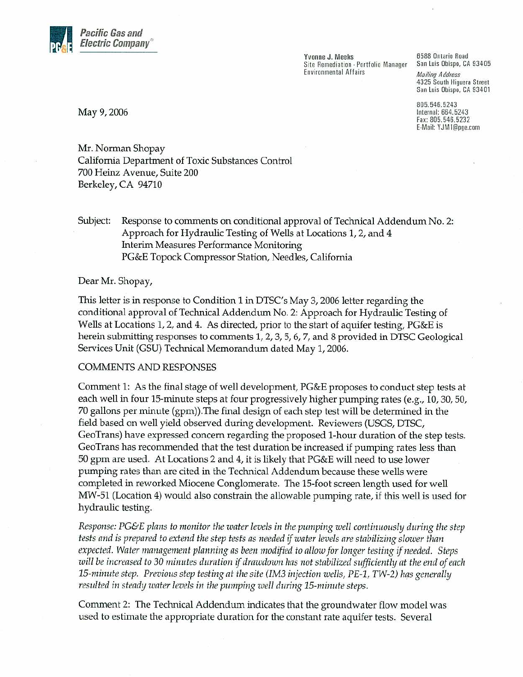

Yvonne J. Meeks Site Remediation - Portfolio Manager **Environmental Affairs** 

6588 Ontario Road San Luis Obispo, CA 93405 **Mailing Address** 4325 South Higuera Street San Luis Obispo, CA 93401

805.546.5243 Internal: 664.5243 Fax: 805.546.5232 E-Mail: YJM1@pge.com

May 9, 2006

Mr. Norman Shopay California Department of Toxic Substances Control 700 Heinz Avenue, Suite 200 Berkeley, CA 94710

Subject: Response to comments on conditional approval of Technical Addendum No. 2: Approach for Hydraulic Testing of Wells at Locations 1, 2, and 4 Interim Measures Performance Monitoring PG&E Topock Compressor Station, Needles, California

## Dear Mr. Shopay,

This letter is in response to Condition 1 in DTSC's May 3, 2006 letter regarding the conditional approval of Technical Addendum No. 2: Approach for Hydraulic Testing of Wells at Locations 1, 2, and 4. As directed, prior to the start of aquifer testing, PG&E is herein submitting responses to comments 1, 2, 3, 5, 6, 7, and 8 provided in DTSC Geological Services Unit (GSU) Technical Memorandum dated May 1, 2006.

## **COMMENTS AND RESPONSES**

Comment 1: As the final stage of well development, PG&E proposes to conduct step tests at each well in four 15-minute steps at four progressively higher pumping rates (e.g., 10, 30, 50, 70 gallons per minute (gpm)). The final design of each step test will be determined in the field based on well yield observed during development. Reviewers (USGS, DTSC, GeoTrans) have expressed concern regarding the proposed 1-hour duration of the step tests. GeoTrans has recommended that the test duration be increased if pumping rates less than 50 gpm are used. At Locations 2 and 4, it is likely that PG&E will need to use lower pumping rates than are cited in the Technical Addendum because these wells were completed in reworked Miocene Conglomerate. The 15-foot screen length used for well MW-51 (Location 4) would also constrain the allowable pumping rate, if this well is used for hydraulic testing.

Response: PG&E plans to monitor the water levels in the pumping well continuously during the step tests and is prepared to extend the step tests as needed if water levels are stabilizing slower than expected. Water management planning as been modified to allow for longer testing if needed. Steps will be increased to 30 minutes duration if drawdown has not stabilized sufficiently at the end of each 15-minute step. Previous step testing at the site (IM3 injection wells, PE-1, TW-2) has generally resulted in steady water levels in the pumping well during 15-minute steps.

Comment 2: The Technical Addendum indicates that the groundwater flow model was used to estimate the appropriate duration for the constant rate aquifer tests. Several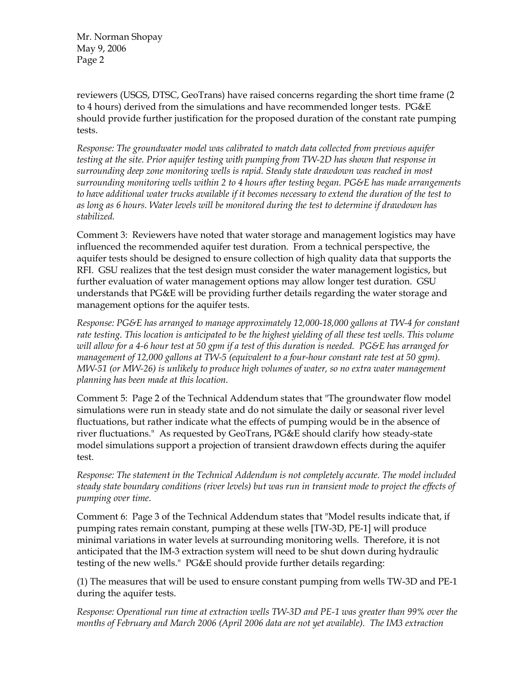Mr. Norman Shopay May 9, 2006 Page 2

reviewers (USGS, DTSC, GeoTrans) have raised concerns regarding the short time frame (2 to 4 hours) derived from the simulations and have recommended longer tests. PG&E should provide further justification for the proposed duration of the constant rate pumping tests.

*Response: The groundwater model was calibrated to match data collected from previous aquifer testing at the site. Prior aquifer testing with pumping from TW-2D has shown that response in surrounding deep zone monitoring wells is rapid. Steady state drawdown was reached in most surrounding monitoring wells within 2 to 4 hours after testing began. PG&E has made arrangements to have additional water trucks available if it becomes necessary to extend the duration of the test to as long as 6 hours. Water levels will be monitored during the test to determine if drawdown has stabilized.* 

Comment 3: Reviewers have noted that water storage and management logistics may have influenced the recommended aquifer test duration. From a technical perspective, the aquifer tests should be designed to ensure collection of high quality data that supports the RFI. GSU realizes that the test design must consider the water management logistics, but further evaluation of water management options may allow longer test duration. GSU understands that PG&E will be providing further details regarding the water storage and management options for the aquifer tests.

*Response: PG&E has arranged to manage approximately 12,000-18,000 gallons at TW-4 for constant*  rate testing. This location is anticipated to be the highest yielding of all these test wells. This volume *will allow for a 4-6 hour test at 50 gpm if a test of this duration is needed. PG&E has arranged for management of 12,000 gallons at TW-5 (equivalent to a four-hour constant rate test at 50 gpm). MW-51 (or MW-26) is unlikely to produce high volumes of water, so no extra water management planning has been made at this location.* 

Comment 5: Page 2 of the Technical Addendum states that "The groundwater flow model simulations were run in steady state and do not simulate the daily or seasonal river level fluctuations, but rather indicate what the effects of pumping would be in the absence of river fluctuations." As requested by GeoTrans, PG&E should clarify how steady-state model simulations support a projection of transient drawdown effects during the aquifer test.

*Response: The statement in the Technical Addendum is not completely accurate. The model included steady state boundary conditions (river levels) but was run in transient mode to project the effects of pumping over time*.

Comment 6: Page 3 of the Technical Addendum states that "Model results indicate that, if pumping rates remain constant, pumping at these wells [TW-3D, PE-1] will produce minimal variations in water levels at surrounding monitoring wells. Therefore, it is not anticipated that the IM-3 extraction system will need to be shut down during hydraulic testing of the new wells." PG&E should provide further details regarding:

(1) The measures that will be used to ensure constant pumping from wells TW-3D and PE-1 during the aquifer tests.

*Response: Operational run time at extraction wells TW-3D and PE-1 was greater than 99% over the months of February and March 2006 (April 2006 data are not yet available). The IM3 extraction*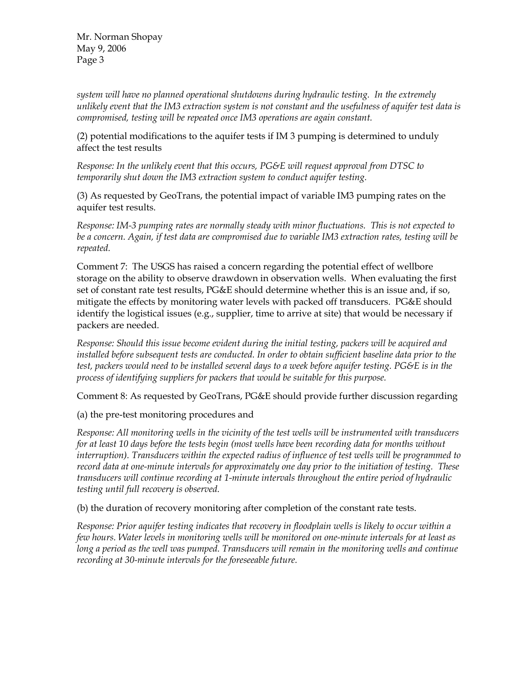Mr. Norman Shopay May 9, 2006 Page 3

*system will have no planned operational shutdowns during hydraulic testing. In the extremely unlikely event that the IM3 extraction system is not constant and the usefulness of aquifer test data is compromised, testing will be repeated once IM3 operations are again constant.*

(2) potential modifications to the aquifer tests if IM 3 pumping is determined to unduly affect the test results

*Response: In the unlikely event that this occurs, PG&E will request approval from DTSC to temporarily shut down the IM3 extraction system to conduct aquifer testing.* 

(3) As requested by GeoTrans, the potential impact of variable IM3 pumping rates on the aquifer test results.

*Response: IM-3 pumping rates are normally steady with minor fluctuations. This is not expected to be a concern. Again, if test data are compromised due to variable IM3 extraction rates, testing will be repeated.* 

Comment 7: The USGS has raised a concern regarding the potential effect of wellbore storage on the ability to observe drawdown in observation wells. When evaluating the first set of constant rate test results, PG&E should determine whether this is an issue and, if so, mitigate the effects by monitoring water levels with packed off transducers. PG&E should identify the logistical issues (e.g., supplier, time to arrive at site) that would be necessary if packers are needed.

*Response: Should this issue become evident during the initial testing, packers will be acquired and installed before subsequent tests are conducted. In order to obtain sufficient baseline data prior to the test, packers would need to be installed several days to a week before aquifer testing. PG&E is in the process of identifying suppliers for packers that would be suitable for this purpose.* 

Comment 8: As requested by GeoTrans, PG&E should provide further discussion regarding

(a) the pre-test monitoring procedures and

*Response: All monitoring wells in the vicinity of the test wells will be instrumented with transducers for at least 10 days before the tests begin (most wells have been recording data for months without interruption). Transducers within the expected radius of influence of test wells will be programmed to record data at one-minute intervals for approximately one day prior to the initiation of testing. These transducers will continue recording at 1-minute intervals throughout the entire period of hydraulic testing until full recovery is observed.* 

(b) the duration of recovery monitoring after completion of the constant rate tests.

*Response: Prior aquifer testing indicates that recovery in floodplain wells is likely to occur within a few hours. Water levels in monitoring wells will be monitored on one-minute intervals for at least as long a period as the well was pumped. Transducers will remain in the monitoring wells and continue recording at 30-minute intervals for the foreseeable future.*